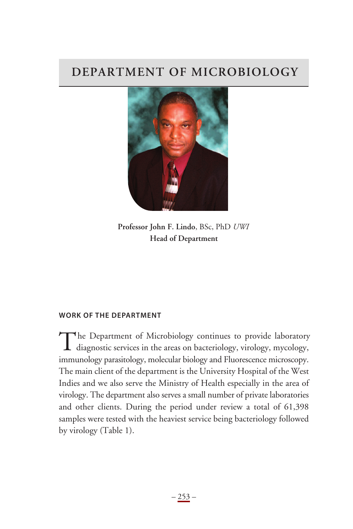# **DEPARTMENT OF MICROBIOLOGY**



**Professor John F. Lindo**, BSc, PhD *UWI* **Head of Department**

#### **WoRk of tHe DepARtment**

The Department of Microbiology continues to provide laboratory<br>diagnostic services in the areas on bacteriology, virology, mycology, immunology parasitology, molecular biology and Fluorescence microscopy. The main client of the department is the University Hospital of the West Indies and we also serve the Ministry of Health especially in the area of virology. The department also serves a small number of private laboratories and other clients. During the period under review a total of 61,398 samples were tested with the heaviest service being bacteriology followed by virology (Table 1).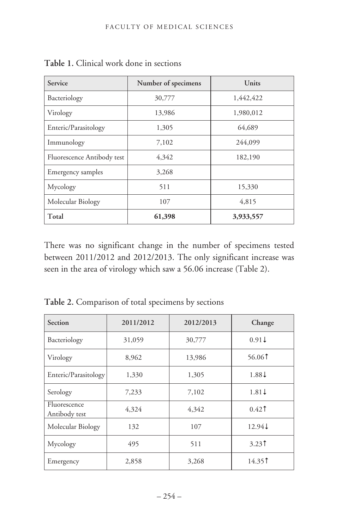| Service                    | Number of specimens | Units     |  |
|----------------------------|---------------------|-----------|--|
| Bacteriology               | 30,777              | 1,442,422 |  |
| Virology                   | 13,986              | 1,980,012 |  |
| Enteric/Parasitology       | 1,305               | 64,689    |  |
| Immunology                 | 7,102               | 244,099   |  |
| Fluorescence Antibody test | 4,342               | 182,190   |  |
| Emergency samples          | 3,268               |           |  |
| Mycology                   | 511                 | 15,330    |  |
| Molecular Biology          | 107                 | 4,815     |  |
| Total                      | 61,398              | 3,933,557 |  |

**Table 1.** Clinical work done in sections

There was no significant change in the number of specimens tested between 2011/2012 and 2012/2013. The only significant increase was seen in the area of virology which saw a 56.06 increase (Table 2).

| Section                       | 2011/2012 | 2012/2013 | Change                                 |
|-------------------------------|-----------|-----------|----------------------------------------|
| Bacteriology                  | 31,059    | 30,777    | $0.91\pm$                              |
| Virology                      | 8,962     | 13,986    | 56.061                                 |
| Enteric/Parasitology          | 1,330     | 1,305     | $1.88\downarrow$                       |
| Serology                      | 7,233     | 7,102     | $1.81\downarrow$                       |
| Fluorescence<br>Antibody test | 4,324     | 4,342     | $0.42$ <sup><math>\dagger</math></sup> |
| Molecular Biology             | 132       | 107       | 12.94↓                                 |
| Mycology                      | 495       | 511       | $3.23$ <sup><math>\dagger</math></sup> |
| Emergency                     | 2,858     | 3,268     | 14.351                                 |

**Table 2.** Comparison of total specimens by sections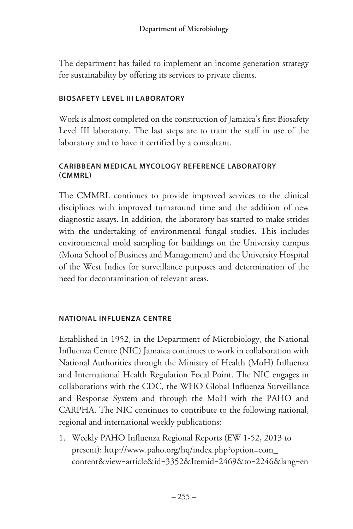The department has failed to implement an income generation strategy for sustainability by offering its services to private clients.

## **BiosAfety level iii lABoRAtoRy**

Work is almost completed on the construction of Jamaica's first Biosafety Level III laboratory. The last steps are to train the staff in use of the laboratory and to have it certified by a consultant.

## **cARiBBeAn meDicAl mycology RefeRence lABoRAtoRy (cmmRl)**

The CMMRL continues to provide improved services to the clinical disciplines with improved turnaround time and the addition of new diagnostic assays. In addition, the laboratory has started to make strides with the undertaking of environmental fungal studies. This includes environmental mold sampling for buildings on the University campus (Mona School of Business and Management) and the University Hospital of the West Indies for surveillance purposes and determination of the need for decontamination of relevant areas.

#### **nAtionAl inflUenzA centRe**

Established in 1952, in the Department of Microbiology, the National Influenza Centre (NIC) Jamaica continues to work in collaboration with National Authorities through the Ministry of Health (MoH) Influenza and International Health Regulation Focal Point. The NIC engages in collaborations with the CDC, the WHO Global Influenza Surveillance and Response System and through the MoH with the PAHO and CARPHA. The NIC continues to contribute to the following national, regional and international weekly publications:

1. Weekly PAHO Influenza Regional Reports (EW 1-52, 2013 to present): http://www.paho.org/hq/index.php?option=com\_ content&view=article&id=3352&Itemid=2469&to=2246&lang=en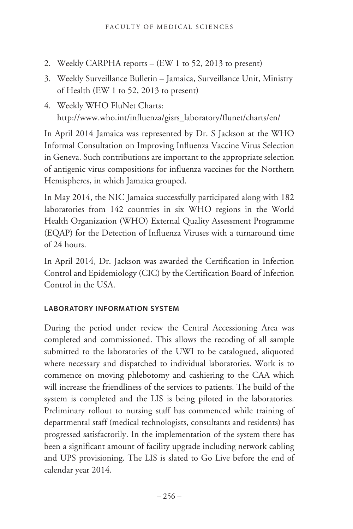- 2. Weekly CARPHA reports (EW 1 to 52, 2013 to present)
- 3. Weekly Surveillance Bulletin Jamaica, Surveillance Unit, Ministry of Health (EW 1 to 52, 2013 to present)
- 4. Weekly WHO FluNet Charts: http://www.who.int/influenza/gisrs\_laboratory/flunet/charts/en/

In April 2014 Jamaica was represented by Dr. S Jackson at the WHO Informal Consultation on Improving Influenza Vaccine Virus Selection in Geneva. Such contributions are important to the appropriate selection of antigenic virus compositions for influenza vaccines for the Northern Hemispheres, in which Jamaica grouped.

In May 2014, the NIC Jamaica successfully participated along with 182 laboratories from 142 countries in six WHO regions in the World Health Organization (WHO) External Quality Assessment Programme (EQAP) for the Detection of Influenza Viruses with a turnaround time of 24 hours.

In April 2014, Dr. Jackson was awarded the Certification in Infection Control and Epidemiology (CIC) by the Certification Board of Infection Control in the USA.

# **lABoRAtoRy infoRmAtion system**

During the period under review the Central Accessioning Area was completed and commissioned. This allows the recoding of all sample submitted to the laboratories of the UWI to be catalogued, aliquoted where necessary and dispatched to individual laboratories. Work is to commence on moving phlebotomy and cashiering to the CAA which will increase the friendliness of the services to patients. The build of the system is completed and the LIS is being piloted in the laboratories. Preliminary rollout to nursing staff has commenced while training of departmental staff (medical technologists, consultants and residents) has progressed satisfactorily. In the implementation of the system there has been a significant amount of facility upgrade including network cabling and UPS provisioning. The LIS is slated to Go Live before the end of calendar year 2014.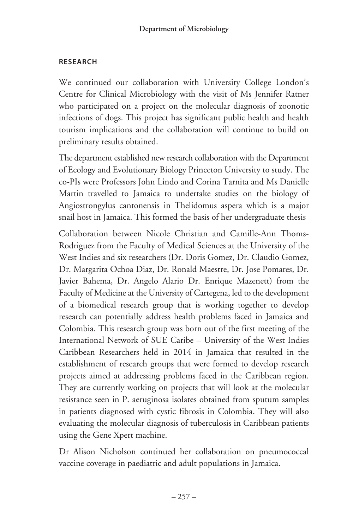## **ReseARcH**

We continued our collaboration with University College London's Centre for Clinical Microbiology with the visit of Ms Jennifer Ratner who participated on a project on the molecular diagnosis of zoonotic infections of dogs. This project has significant public health and health tourism implications and the collaboration will continue to build on preliminary results obtained.

The department established new research collaboration with the Department of Ecology and Evolutionary Biology Princeton University to study. The co-PIs were Professors John Lindo and Corina Tarnita and Ms Danielle Martin travelled to Jamaica to undertake studies on the biology of Angiostrongylus cantonensis in Thelidomus aspera which is a major snail host in Jamaica. This formed the basis of her undergraduate thesis

Collaboration between Nicole Christian and Camille-Ann Thoms-Rodriguez from the Faculty of Medical Sciences at the University of the West Indies and six researchers (Dr. Doris Gomez, Dr. Claudio Gomez, Dr. Margarita Ochoa Diaz, Dr. Ronald Maestre, Dr. Jose Pomares, Dr. Javier Bahema, Dr. Angelo Alario Dr. Enrique Mazenett) from the Faculty of Medicine at the University of Cartegena, led to the development of a biomedical research group that is working together to develop research can potentially address health problems faced in Jamaica and Colombia. This research group was born out of the first meeting of the International Network of SUE Caribe – University of the West Indies Caribbean Researchers held in 2014 in Jamaica that resulted in the establishment of research groups that were formed to develop research projects aimed at addressing problems faced in the Caribbean region. They are currently working on projects that will look at the molecular resistance seen in P. aeruginosa isolates obtained from sputum samples in patients diagnosed with cystic fibrosis in Colombia. They will also evaluating the molecular diagnosis of tuberculosis in Caribbean patients using the Gene Xpert machine.

Dr Alison Nicholson continued her collaboration on pneumococcal vaccine coverage in paediatric and adult populations in Jamaica.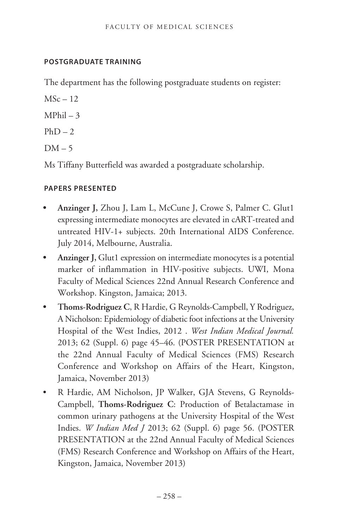## **postgRADUAte tRAining**

The department has the following postgraduate students on register:

 $MSc-12$ 

- $MPhil 3$
- $PhD 2$
- $DM 5$

Ms Tiffany Butterfield was awarded a postgraduate scholarship.

# **pApeRs pResenteD**

- **• Anzinger J,** Zhou J, Lam L, McCune J, Crowe S, Palmer C. Glut1 expressing intermediate monocytes are elevated in cART-treated and untreated HIV-1+ subjects. 20th International AIDS Conference. July 2014, Melbourne, Australia.
- **• Anzinger J,** Glut1 expression on intermediate monocytes is a potential marker of inflammation in HIV-positive subjects. UWI, Mona Faculty of Medical Sciences 22nd Annual Research Conference and Workshop. Kingston, Jamaica; 2013.
- **• Thoms-Rodriguez C**, R Hardie, G Reynolds-Campbell, Y Rodriguez, A Nicholson: Epidemiology of diabetic foot infections at the University Hospital of the West Indies, 2012 . *West Indian Medical Journal.* 2013; 62 (Suppl. 6) page 45–46. (POSTER PRESENTATION at the 22nd Annual Faculty of Medical Sciences (FMS) Research Conference and Workshop on Affairs of the Heart, Kingston, Jamaica, November 2013)
- R Hardie, AM Nicholson, JP Walker, GJA Stevens, G Reynolds-Campbell, **Thoms-Rodriguez C**: Production of Betalactamase in common urinary pathogens at the University Hospital of the West Indies. *W Indian Med J* 2013; 62 (Suppl. 6) page 56. (POSTER PRESENTATION at the 22nd Annual Faculty of Medical Sciences (FMS) Research Conference and Workshop on Affairs of the Heart, Kingston, Jamaica, November 2013)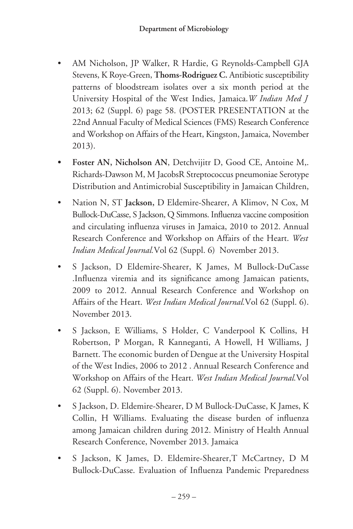- AM Nicholson, JP Walker, R Hardie, G Reynolds-Campbell GJA Stevens, K Roye-Green, **Thoms-Rodriguez C.** Antibiotic susceptibility patterns of bloodstream isolates over a six month period at the University Hospital of the West Indies, Jamaica.*W Indian Med J* 2013; 62 (Suppl. 6) page 58. (POSTER PRESENTATION at the 22nd Annual Faculty of Medical Sciences (FMS) Research Conference and Workshop on Affairs of the Heart, Kingston, Jamaica, November 2013).
- **• Foster AN, Nicholson AN**, Detchvijitr D, Good CE, Antoine M,. Richards-Dawson M, M JacobsR Streptococcus pneumoniae Serotype Distribution and Antimicrobial Susceptibility in Jamaican Children,
- Nation N, ST **Jackson,** D Eldemire-Shearer, A Klimov, N Cox, M Bullock-DuCasse, S Jackson, Q Simmons. Influenza vaccine composition and circulating influenza viruses in Jamaica, 2010 to 2012. Annual Research Conference and Workshop on Affairs of the Heart. *West Indian Medical Journal.*Vol 62 (Suppl. 6) November 2013.
- S Jackson, D Eldemire-Shearer, K James, M Bullock-DuCasse .Influenza viremia and its significance among Jamaican patients, 2009 to 2012. Annual Research Conference and Workshop on Affairs of the Heart. *West Indian Medical Journal.*Vol 62 (Suppl. 6). November 2013.
- S Jackson, E Williams, S Holder, C Vanderpool K Collins, H Robertson, P Morgan, R Kanneganti, A Howell, H Williams, J Barnett. The economic burden of Dengue at the University Hospital of the West Indies, 2006 to 2012 . Annual Research Conference and Workshop on Affairs of the Heart. *West Indian Medical Journal.*Vol 62 (Suppl. 6). November 2013.
- S Jackson, D. Eldemire-Shearer, D M Bullock-DuCasse, K James, K Collin, H Williams. Evaluating the disease burden of influenza among Jamaican children during 2012. Ministry of Health Annual Research Conference, November 2013. Jamaica
- S Jackson, K James, D. Eldemire-Shearer,T McCartney, D M Bullock-DuCasse. Evaluation of Influenza Pandemic Preparedness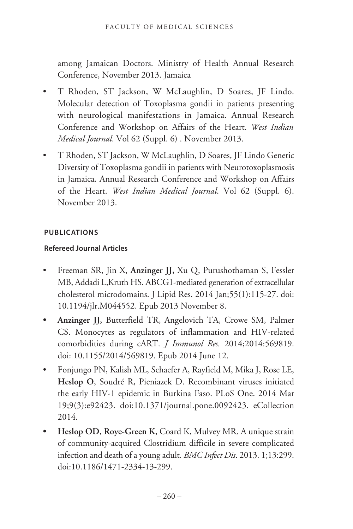among Jamaican Doctors. Ministry of Health Annual Research Conference, November 2013. Jamaica

- T Rhoden, ST Jackson, W McLaughlin, D Soares, JF Lindo. Molecular detection of Toxoplasma gondii in patients presenting with neurological manifestations in Jamaica. Annual Research Conference and Workshop on Affairs of the Heart. *West Indian Medical Journal*. Vol 62 (Suppl. 6) . November 2013.
- T Rhoden, ST Jackson, W McLaughlin, D Soares, JF Lindo Genetic Diversity of Toxoplasma gondii in patients with Neurotoxoplasmosis in Jamaica. Annual Research Conference and Workshop on Affairs of the Heart. *West Indian Medical Journal*. Vol 62 (Suppl. 6). November 2013.

#### **pUBlicAtions**

## **Refereed Journal Articles**

- Freeman SR, Jin X, **Anzinger JJ,** Xu Q, Purushothaman S, Fessler MB, Addadi L,Kruth HS. ABCG1-mediated generation of extracellular cholesterol microdomains. J Lipid Res. 2014 Jan;55(1):115-27. doi: 10.1194/jlr.M044552. Epub 2013 November 8.
- **• Anzinger JJ,** Butterfield TR, Angelovich TA, Crowe SM, Palmer CS. Monocytes as regulators of inflammation and HIV-related comorbidities during cART. *J Immunol Res.* 2014;2014:569819. doi: 10.1155/2014/569819. Epub 2014 June 12.
- Fonjungo PN, Kalish ML, Schaefer A, Rayfield M, Mika J, Rose LE, **Heslop O**, Soudré R, Pieniazek D. Recombinant viruses initiated the early HIV-1 epidemic in Burkina Faso. PLoS One. 2014 Mar 19;9(3):e92423. doi:10.1371/journal.pone.0092423. eCollection 2014.
- **• Heslop OD, Roye-Green K,** Coard K, Mulvey MR. A unique strain of community-acquired Clostridium difficile in severe complicated infection and death of a young adult. *BMC Infect Dis*. 2013. 1;13:299. doi:10.1186/1471-2334-13-299.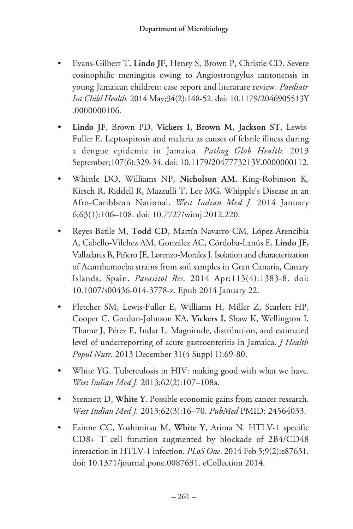- Evans-Gilbert T, **Lindo JF**, Henry S, Brown P, Christie CD. Severe eosinophilic meningitis owing to Angiostrongylus cantonensis in young Jamaican children: case report and literature review. *Paediatr Int Child Health.* 2014 May;34(2):148-52. doi: 10.1179/2046905513Y .0000000106.
- **• Lindo JF**, Brown PD, **Vickers I, Brown M, Jackson ST**, Lewis-Fuller E. Leptospirosis and malaria as causes of febrile illness during a dengue epidemic in Jamaica. *Pathog Glob Health.* 2013 September;107(6):329-34. doi: 10.1179/2047773213Y.0000000112.
- Whittle DO, Williams NP, **Nicholson AM**, King-Robinson K, Kirsch R, Riddell R, Mazzulli T, Lee MG. Whipple's Disease in an Afro-Caribbean National. *West Indian Med J*. 2014 January 6;63(1):106–108. doi: 10.7727/wimj.2012.220.
- Reyes-Batlle M, **Todd CD,** Martín-Navarro CM, López-Arencibia A, Cabello-Vilchez AM, González AC, Córdoba-Lanús E, **Lindo JF,** Valladares B, Piñero JE, Lorenzo-Morales J. Isolation and characterization of Acanthamoeba strains from soil samples in Gran Canaria, Canary Islands, Spain. *Parasitol Res.* 2014 Apr;113(4):1383-8. doi: 10.1007/s00436-014-3778-z. Epub 2014 January 22.
- Fletcher SM, Lewis-Fuller E, Williams H, Miller Z, Scarlett HP, Cooper C, Gordon-Johnson KA, **Vickers I,** Shaw K, Wellington I, Thame J, Pérez E, Indar L. Magnitude, distribution, and estimated level of underreporting of acute gastroenteritis in Jamaica. *J Health Popul Nutr.* 2013 December 31(4 Suppl 1):69-80.
- White YG. Tuberculosis in HIV: making good with what we have. *West Indian Med J.* 2013;62(2):107–108a.
- Stennett D, **White Y.** Possible economic gains from cancer research. *West Indian Med J.* 2013;62(3):16–70. *PubMed* PMID: 24564033.
- Ezinne CC, Yoshimitsu M, **White Y**, Arima N. HTLV-1 specific CD8+ T cell function augmented by blockade of 2B4/CD48 interaction in HTLV-1 infection. *PLoS One*. 2014 Feb 5;9(2):e87631. doi: 10.1371/journal.pone.0087631. eCollection 2014.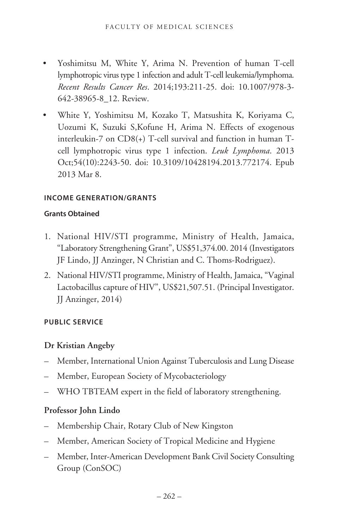- Yoshimitsu M, White Y, Arima N. Prevention of human T-cell lymphotropic virus type 1 infection and adult T-cell leukemia/lymphoma. *Recent Results Cancer Res*. 2014;193:211-25. doi: 10.1007/978-3- 642-38965-8\_12. Review.
- White Y, Yoshimitsu M, Kozako T, Matsushita K, Koriyama C, Uozumi K, Suzuki S,Kofune H, Arima N. Effects of exogenous interleukin-7 on CD8(+) T-cell survival and function in human Tcell lymphotropic virus type 1 infection. *Leuk Lymphoma*. 2013 Oct;54(10):2243-50. doi: 10.3109/10428194.2013.772174. Epub 2013 Mar 8.

#### **income geneRAtion/gRAnts**

#### **grants obtained**

- 1. National HIV/STI programme, Ministry of Health, Jamaica, "Laboratory Strengthening Grant", US\$51,374.00. 2014 (Investigators JF Lindo, JJ Anzinger, N Christian and C. Thoms-Rodriguez).
- 2. National HIV/STI programme, Ministry of Health, Jamaica, "Vaginal Lactobacillus capture of HIV", US\$21,507.51. (Principal Investigator. JJ Anzinger, 2014)

#### **pUBlic seRvice**

# **Dr Kristian Angeby**

- Member, International Union Against Tuberculosis and Lung Disease
- Member, European Society of Mycobacteriology
- WHO TBTEAM expert in the field of laboratory strengthening.

# **Professor John Lindo**

- Membership Chair, Rotary Club of New Kingston
- Member, American Society of Tropical Medicine and Hygiene
- Member, Inter-American Development Bank Civil Society Consulting Group (ConSOC)